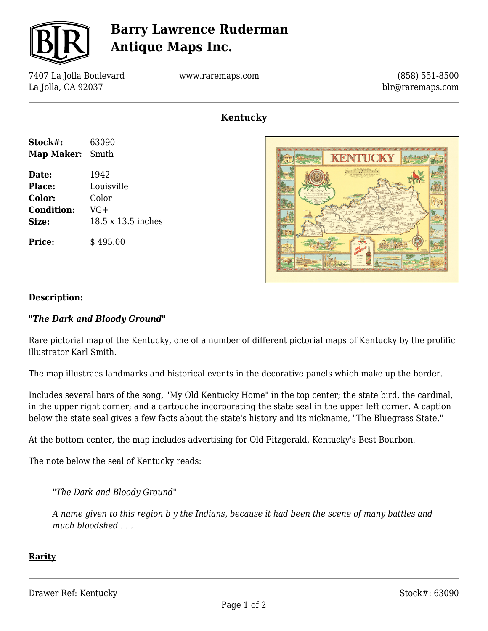

## **Barry Lawrence Ruderman Antique Maps Inc.**

7407 La Jolla Boulevard La Jolla, CA 92037

**Stock#:** 63090 **Map Maker:** Smith

**Date:** 1942 **Place:** Louisville **Color:** Color **Condition:** VG+

**Size:** 18.5 x 13.5

**Price:**  $\qquad$  \$495.00

www.raremaps.com

(858) 551-8500 blr@raremaps.com

### **Kentucky**

|        |  |               | The character and character and characters. |  |
|--------|--|---------------|---------------------------------------------|--|
|        |  |               |                                             |  |
|        |  |               |                                             |  |
|        |  |               | Honducky                                    |  |
|        |  |               |                                             |  |
| inches |  |               |                                             |  |
|        |  | $\frac{1}{2}$ |                                             |  |
|        |  |               |                                             |  |



#### **Description:**

#### *"The Dark and Bloody Ground"*

Rare pictorial map of the Kentucky, one of a number of different pictorial maps of Kentucky by the prolific illustrator Karl Smith.

The map illustraes landmarks and historical events in the decorative panels which make up the border.

Includes several bars of the song, "My Old Kentucky Home" in the top center; the state bird, the cardinal, in the upper right corner; and a cartouche incorporating the state seal in the upper left corner. A caption below the state seal gives a few facts about the state's history and its nickname, "The Bluegrass State."

At the bottom center, the map includes advertising for Old Fitzgerald, Kentucky's Best Bourbon.

The note below the seal of Kentucky reads:

*"The Dark and Bloody Ground"*

*A name given to this region b y the Indians, because it had been the scene of many battles and much bloodshed . . .*

#### **Rarity**

Drawer Ref: Kentucky Stock #: 63090